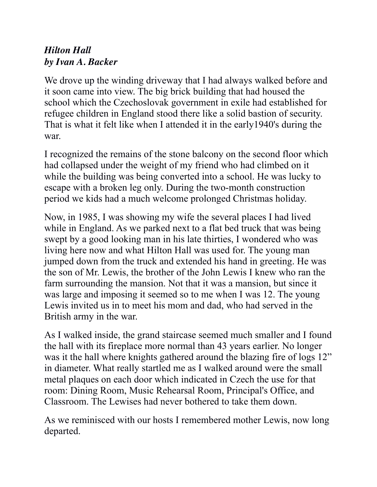## *Hilton Hall by Ivan A. Backer*

We drove up the winding driveway that I had always walked before and it soon came into view. The big brick building that had housed the school which the Czechoslovak government in exile had established for refugee children in England stood there like a solid bastion of security. That is what it felt like when I attended it in the early1940's during the war.

I recognized the remains of the stone balcony on the second floor which had collapsed under the weight of my friend who had climbed on it while the building was being converted into a school. He was lucky to escape with a broken leg only. During the two-month construction period we kids had a much welcome prolonged Christmas holiday.

Now, in 1985, I was showing my wife the several places I had lived while in England. As we parked next to a flat bed truck that was being swept by a good looking man in his late thirties, I wondered who was living here now and what Hilton Hall was used for. The young man jumped down from the truck and extended his hand in greeting. He was the son of Mr. Lewis, the brother of the John Lewis I knew who ran the farm surrounding the mansion. Not that it was a mansion, but since it was large and imposing it seemed so to me when I was 12. The young Lewis invited us in to meet his mom and dad, who had served in the British army in the war.

As I walked inside, the grand staircase seemed much smaller and I found the hall with its fireplace more normal than 43 years earlier. No longer was it the hall where knights gathered around the blazing fire of logs 12" in diameter. What really startled me as I walked around were the small metal plaques on each door which indicated in Czech the use for that room: Dining Room, Music Rehearsal Room, Principal's Office, and Classroom. The Lewises had never bothered to take them down.

As we reminisced with our hosts I remembered mother Lewis, now long departed.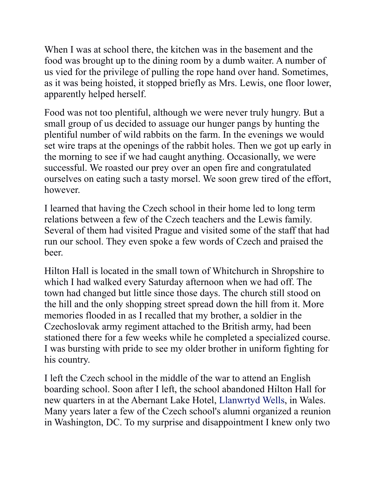When I was at school there, the kitchen was in the basement and the food was brought up to the dining room by a dumb waiter. A number of us vied for the privilege of pulling the rope hand over hand. Sometimes, as it was being hoisted, it stopped briefly as Mrs. Lewis, one floor lower, apparently helped herself.

Food was not too plentiful, although we were never truly hungry. But a small group of us decided to assuage our hunger pangs by hunting the plentiful number of wild rabbits on the farm. In the evenings we would set wire traps at the openings of the rabbit holes. Then we got up early in the morning to see if we had caught anything. Occasionally, we were successful. We roasted our prey over an open fire and congratulated ourselves on eating such a tasty morsel. We soon grew tired of the effort, however.

I learned that having the Czech school in their home led to long term relations between a few of the Czech teachers and the Lewis family. Several of them had visited Prague and visited some of the staff that had run our school. They even spoke a few words of Czech and praised the beer.

Hilton Hall is located in the small town of Whitchurch in Shropshire to which I had walked every Saturday afternoon when we had off. The town had changed but little since those days. The church still stood on the hill and the only shopping street spread down the hill from it. More memories flooded in as I recalled that my brother, a soldier in the Czechoslovak army regiment attached to the British army, had been stationed there for a few weeks while he completed a specialized course. I was bursting with pride to see my older brother in uniform fighting for his country.

I left the Czech school in the middle of the war to attend an English boarding school. Soon after I left, the school abandoned Hilton Hall for new quarters in at the Abernant Lake Hotel, Llanwrtyd Wells, in Wales. Many years later a few of the Czech school's alumni organized a reunion in Washington, DC. To my surprise and disappointment I knew only two